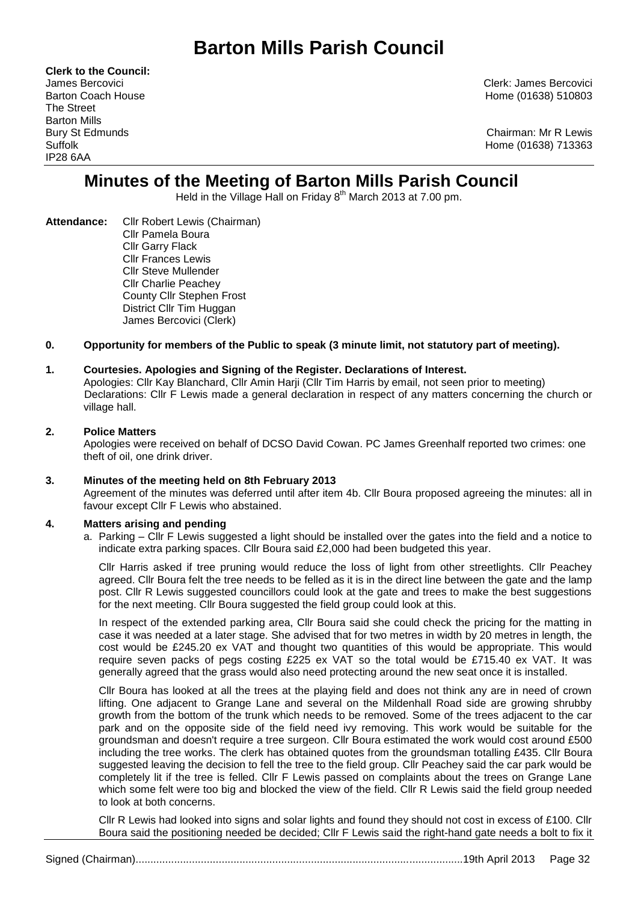# **Barton Mills Parish Council**

**Clerk to the Council:** The Street Barton Mills IP28 6AA

James Bercovici Clerk: James Bercovici Barton Coach House **Home (01638)** 510803

Bury St Edmunds Chairman: Mr R Lewis Suffolk Home (01638) 713363

## **Minutes of the Meeting of Barton Mills Parish Council**

Held in the Village Hall on Friday 8<sup>th</sup> March 2013 at 7.00 pm.

**Attendance:** Cllr Robert Lewis (Chairman) Cllr Pamela Boura Cllr Garry Flack Cllr Frances Lewis Cllr Steve Mullender Cllr Charlie Peachey County Cllr Stephen Frost District Cllr Tim Huggan James Bercovici (Clerk)

## **0. Opportunity for members of the Public to speak (3 minute limit, not statutory part of meeting).**

## **1. Courtesies. Apologies and Signing of the Register. Declarations of Interest.**

Apologies: Cllr Kay Blanchard, Cllr Amin Harji (Cllr Tim Harris by email, not seen prior to meeting) Declarations: Cllr F Lewis made a general declaration in respect of any matters concerning the church or village hall.

## **2. Police Matters**

Apologies were received on behalf of DCSO David Cowan. PC James Greenhalf reported two crimes: one theft of oil, one drink driver.

#### **3. Minutes of the meeting held on 8th February 2013**

Agreement of the minutes was deferred until after item 4b. Cllr Boura proposed agreeing the minutes: all in favour except Cllr F Lewis who abstained.

#### **4. Matters arising and pending**

a. Parking – Cllr F Lewis suggested a light should be installed over the gates into the field and a notice to indicate extra parking spaces. Cllr Boura said £2,000 had been budgeted this year.

Cllr Harris asked if tree pruning would reduce the loss of light from other streetlights. Cllr Peachey agreed. Cllr Boura felt the tree needs to be felled as it is in the direct line between the gate and the lamp post. Cllr R Lewis suggested councillors could look at the gate and trees to make the best suggestions for the next meeting. Cllr Boura suggested the field group could look at this.

In respect of the extended parking area, Cllr Boura said she could check the pricing for the matting in case it was needed at a later stage. She advised that for two metres in width by 20 metres in length, the cost would be £245.20 ex VAT and thought two quantities of this would be appropriate. This would require seven packs of pegs costing £225 ex VAT so the total would be £715.40 ex VAT. It was generally agreed that the grass would also need protecting around the new seat once it is installed.

Cllr Boura has looked at all the trees at the playing field and does not think any are in need of crown lifting. One adjacent to Grange Lane and several on the Mildenhall Road side are growing shrubby growth from the bottom of the trunk which needs to be removed. Some of the trees adjacent to the car park and on the opposite side of the field need ivy removing. This work would be suitable for the groundsman and doesn't require a tree surgeon. Cllr Boura estimated the work would cost around £500 including the tree works. The clerk has obtained quotes from the groundsman totalling £435. Cllr Boura suggested leaving the decision to fell the tree to the field group. Cllr Peachey said the car park would be completely lit if the tree is felled. Cllr F Lewis passed on complaints about the trees on Grange Lane which some felt were too big and blocked the view of the field. Cllr R Lewis said the field group needed to look at both concerns.

Cllr R Lewis had looked into signs and solar lights and found they should not cost in excess of £100. Cllr Boura said the positioning needed be decided; Cllr F Lewis said the right-hand gate needs a bolt to fix it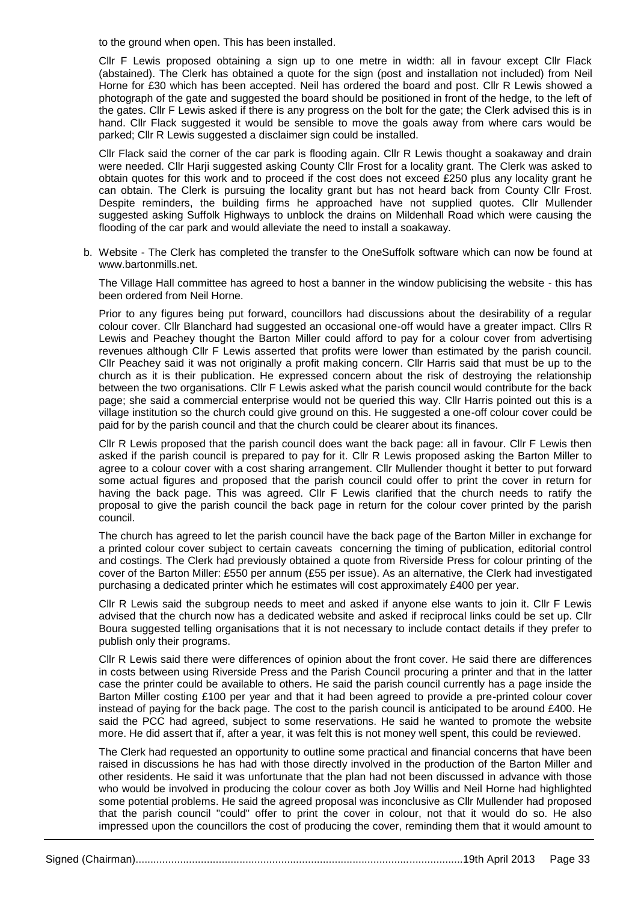to the ground when open. This has been installed.

Cllr F Lewis proposed obtaining a sign up to one metre in width: all in favour except Cllr Flack (abstained). The Clerk has obtained a quote for the sign (post and installation not included) from Neil Horne for £30 which has been accepted. Neil has ordered the board and post. Cllr R Lewis showed a photograph of the gate and suggested the board should be positioned in front of the hedge, to the left of the gates. Cllr F Lewis asked if there is any progress on the bolt for the gate; the Clerk advised this is in hand. Cllr Flack suggested it would be sensible to move the goals away from where cars would be parked; Cllr R Lewis suggested a disclaimer sign could be installed.

Cllr Flack said the corner of the car park is flooding again. Cllr R Lewis thought a soakaway and drain were needed. Cllr Harji suggested asking County Cllr Frost for a locality grant. The Clerk was asked to obtain quotes for this work and to proceed if the cost does not exceed £250 plus any locality grant he can obtain. The Clerk is pursuing the locality grant but has not heard back from County Cllr Frost. Despite reminders, the building firms he approached have not supplied quotes. Cllr Mullender suggested asking Suffolk Highways to unblock the drains on Mildenhall Road which were causing the flooding of the car park and would alleviate the need to install a soakaway.

b. Website - The Clerk has completed the transfer to the OneSuffolk software which can now be found at www.bartonmills.net.

The Village Hall committee has agreed to host a banner in the window publicising the website - this has been ordered from Neil Horne.

Prior to any figures being put forward, councillors had discussions about the desirability of a regular colour cover. Cllr Blanchard had suggested an occasional one-off would have a greater impact. Cllrs R Lewis and Peachey thought the Barton Miller could afford to pay for a colour cover from advertising revenues although Cllr F Lewis asserted that profits were lower than estimated by the parish council. Cllr Peachey said it was not originally a profit making concern. Cllr Harris said that must be up to the church as it is their publication. He expressed concern about the risk of destroying the relationship between the two organisations. Cllr F Lewis asked what the parish council would contribute for the back page; she said a commercial enterprise would not be queried this way. Cllr Harris pointed out this is a village institution so the church could give ground on this. He suggested a one-off colour cover could be paid for by the parish council and that the church could be clearer about its finances.

Cllr R Lewis proposed that the parish council does want the back page: all in favour. Cllr F Lewis then asked if the parish council is prepared to pay for it. Cllr R Lewis proposed asking the Barton Miller to agree to a colour cover with a cost sharing arrangement. Cllr Mullender thought it better to put forward some actual figures and proposed that the parish council could offer to print the cover in return for having the back page. This was agreed. Cllr F Lewis clarified that the church needs to ratify the proposal to give the parish council the back page in return for the colour cover printed by the parish council.

The church has agreed to let the parish council have the back page of the Barton Miller in exchange for a printed colour cover subject to certain caveats concerning the timing of publication, editorial control and costings. The Clerk had previously obtained a quote from Riverside Press for colour printing of the cover of the Barton Miller: £550 per annum (£55 per issue). As an alternative, the Clerk had investigated purchasing a dedicated printer which he estimates will cost approximately £400 per year.

Cllr R Lewis said the subgroup needs to meet and asked if anyone else wants to join it. Cllr F Lewis advised that the church now has a dedicated website and asked if reciprocal links could be set up. Cllr Boura suggested telling organisations that it is not necessary to include contact details if they prefer to publish only their programs.

Cllr R Lewis said there were differences of opinion about the front cover. He said there are differences in costs between using Riverside Press and the Parish Council procuring a printer and that in the latter case the printer could be available to others. He said the parish council currently has a page inside the Barton Miller costing £100 per year and that it had been agreed to provide a pre-printed colour cover instead of paying for the back page. The cost to the parish council is anticipated to be around £400. He said the PCC had agreed, subject to some reservations. He said he wanted to promote the website more. He did assert that if, after a year, it was felt this is not money well spent, this could be reviewed.

The Clerk had requested an opportunity to outline some practical and financial concerns that have been raised in discussions he has had with those directly involved in the production of the Barton Miller and other residents. He said it was unfortunate that the plan had not been discussed in advance with those who would be involved in producing the colour cover as both Joy Willis and Neil Horne had highlighted some potential problems. He said the agreed proposal was inconclusive as Cllr Mullender had proposed that the parish council "could" offer to print the cover in colour, not that it would do so. He also impressed upon the councillors the cost of producing the cover, reminding them that it would amount to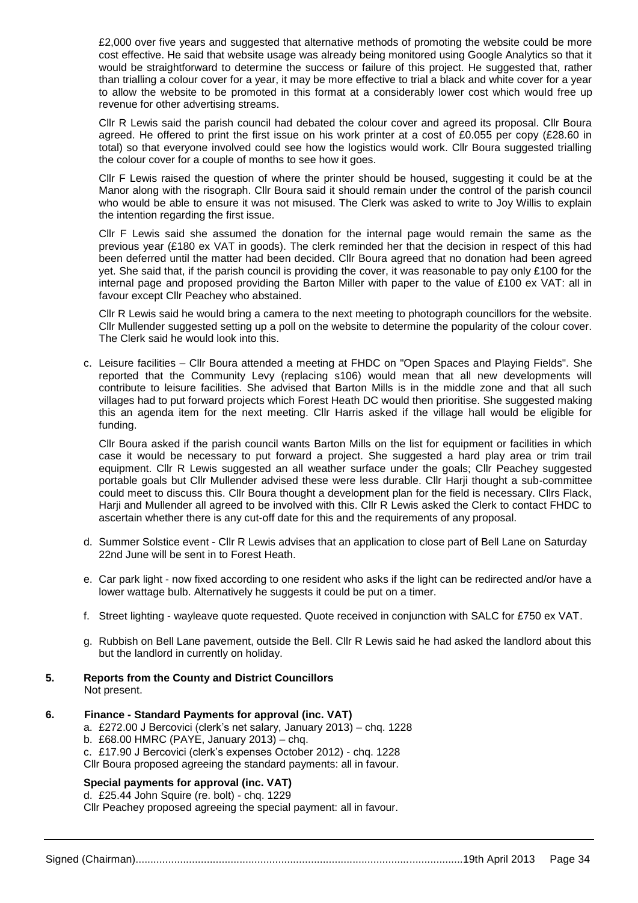£2,000 over five years and suggested that alternative methods of promoting the website could be more cost effective. He said that website usage was already being monitored using Google Analytics so that it would be straightforward to determine the success or failure of this project. He suggested that, rather than trialling a colour cover for a year, it may be more effective to trial a black and white cover for a year to allow the website to be promoted in this format at a considerably lower cost which would free up revenue for other advertising streams.

Cllr R Lewis said the parish council had debated the colour cover and agreed its proposal. Cllr Boura agreed. He offered to print the first issue on his work printer at a cost of £0.055 per copy (£28.60 in total) so that everyone involved could see how the logistics would work. Cllr Boura suggested trialling the colour cover for a couple of months to see how it goes.

Cllr F Lewis raised the question of where the printer should be housed, suggesting it could be at the Manor along with the risograph. Cllr Boura said it should remain under the control of the parish council who would be able to ensure it was not misused. The Clerk was asked to write to Joy Willis to explain the intention regarding the first issue.

Cllr F Lewis said she assumed the donation for the internal page would remain the same as the previous year (£180 ex VAT in goods). The clerk reminded her that the decision in respect of this had been deferred until the matter had been decided. Cllr Boura agreed that no donation had been agreed yet. She said that, if the parish council is providing the cover, it was reasonable to pay only £100 for the internal page and proposed providing the Barton Miller with paper to the value of £100 ex VAT: all in favour except Cllr Peachey who abstained.

Cllr R Lewis said he would bring a camera to the next meeting to photograph councillors for the website. Cllr Mullender suggested setting up a poll on the website to determine the popularity of the colour cover. The Clerk said he would look into this.

c. Leisure facilities – Cllr Boura attended a meeting at FHDC on "Open Spaces and Playing Fields". She reported that the Community Levy (replacing s106) would mean that all new developments will contribute to leisure facilities. She advised that Barton Mills is in the middle zone and that all such villages had to put forward projects which Forest Heath DC would then prioritise. She suggested making this an agenda item for the next meeting. Cllr Harris asked if the village hall would be eligible for funding.

Cllr Boura asked if the parish council wants Barton Mills on the list for equipment or facilities in which case it would be necessary to put forward a project. She suggested a hard play area or trim trail equipment. Cllr R Lewis suggested an all weather surface under the goals; Cllr Peachey suggested portable goals but Cllr Mullender advised these were less durable. Cllr Harji thought a sub-committee could meet to discuss this. Cllr Boura thought a development plan for the field is necessary. Cllrs Flack, Harji and Mullender all agreed to be involved with this. Cllr R Lewis asked the Clerk to contact FHDC to ascertain whether there is any cut-off date for this and the requirements of any proposal.

- d. Summer Solstice event Cllr R Lewis advises that an application to close part of Bell Lane on Saturday 22nd June will be sent in to Forest Heath.
- e. Car park light now fixed according to one resident who asks if the light can be redirected and/or have a lower wattage bulb. Alternatively he suggests it could be put on a timer.
- f. Street lighting wayleave quote requested. Quote received in conjunction with SALC for £750 ex VAT.
- g. Rubbish on Bell Lane pavement, outside the Bell. Cllr R Lewis said he had asked the landlord about this but the landlord in currently on holiday.
- **5. Reports from the County and District Councillors** Not present.

#### **6. Finance - Standard Payments for approval (inc. VAT)**

- a. £272.00 J Bercovici (clerk's net salary, January 2013) chq. 1228
- b. £68.00 HMRC (PAYE, January 2013) chq.

c. £17.90 J Bercovici (clerk's expenses October 2012) - chq. 1228

## Cllr Boura proposed agreeing the standard payments: all in favour.

## **Special payments for approval (inc. VAT)**

d. £25.44 John Squire (re. bolt) - chq. 1229 Cllr Peachey proposed agreeing the special payment: all in favour.